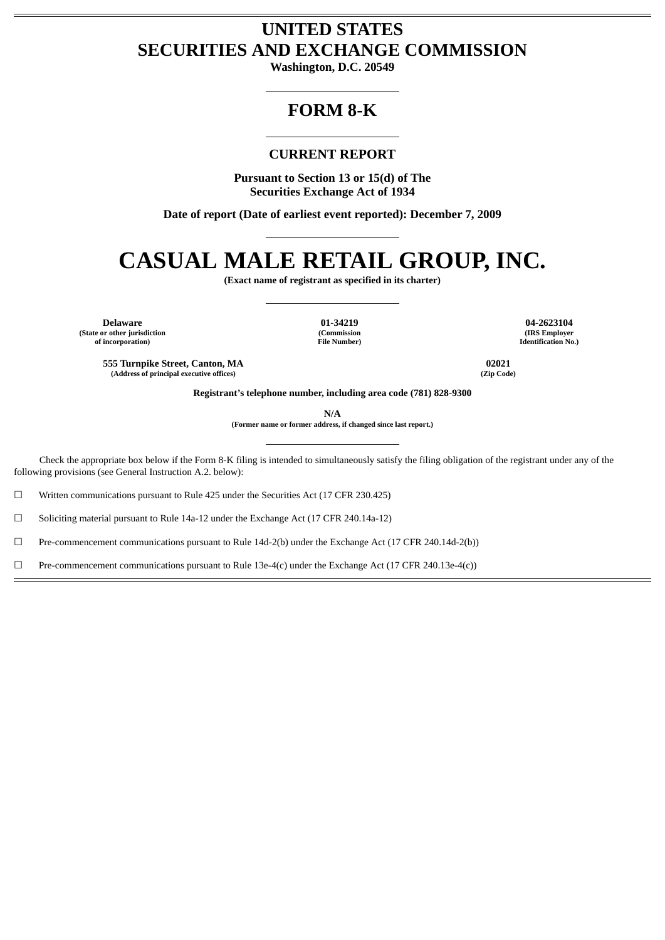## **UNITED STATES SECURITIES AND EXCHANGE COMMISSION**

**Washington, D.C. 20549**

## **FORM 8-K**

### **CURRENT REPORT**

**Pursuant to Section 13 or 15(d) of The Securities Exchange Act of 1934**

**Date of report (Date of earliest event reported): December 7, 2009**

# **CASUAL MALE RETAIL GROUP, INC.**

**(Exact name of registrant as specified in its charter)**

**Delaware 01-34219 04-2623104 (State or other jurisdiction of incorporation)**

**(Commission File Number)**

**(IRS Employer Identification No.)**

**555 Turnpike Street, Canton, MA 02021 (Address of principal executive offices) (Zip Code)**

**Registrant's telephone number, including area code (781) 828-9300**

**N/A**

**(Former name or former address, if changed since last report.)**

Check the appropriate box below if the Form 8-K filing is intended to simultaneously satisfy the filing obligation of the registrant under any of the following provisions (see General Instruction A.2. below):

 $\Box$  Written communications pursuant to Rule 425 under the Securities Act (17 CFR 230.425)

☐ Soliciting material pursuant to Rule 14a-12 under the Exchange Act (17 CFR 240.14a-12)

☐ Pre-commencement communications pursuant to Rule 14d-2(b) under the Exchange Act (17 CFR 240.14d-2(b))

 $□$  Pre-commencement communications pursuant to Rule 13e-4(c) under the Exchange Act (17 CFR 240.13e-4(c))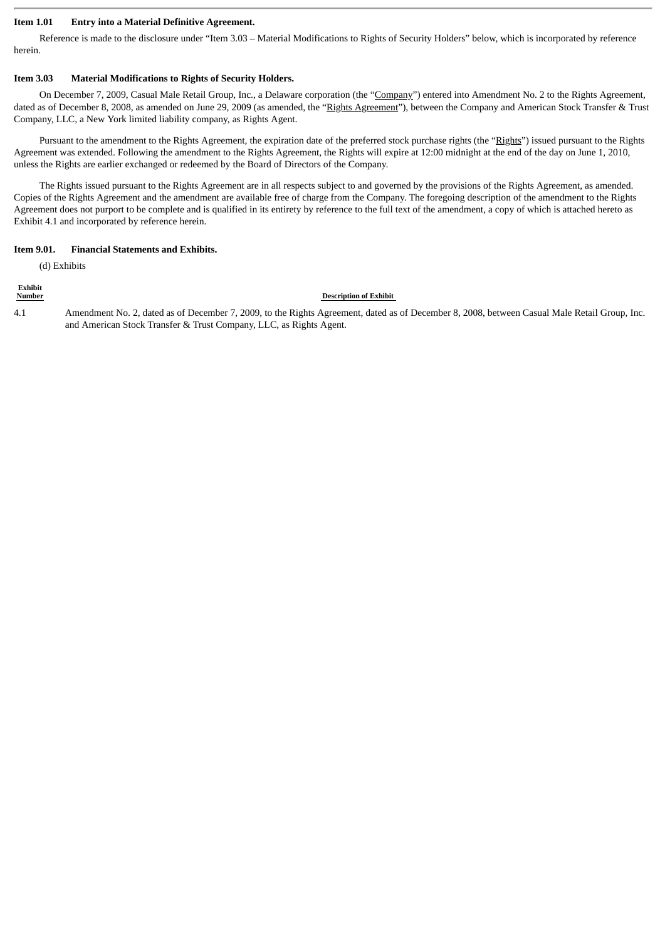#### **Item 1.01 Entry into a Material Definitive Agreement.**

Reference is made to the disclosure under "Item 3.03 – Material Modifications to Rights of Security Holders" below, which is incorporated by reference herein.

#### **Item 3.03 Material Modifications to Rights of Security Holders.**

On December 7, 2009, Casual Male Retail Group, Inc., a Delaware corporation (the "Company") entered into Amendment No. 2 to the Rights Agreement, dated as of December 8, 2008, as amended on June 29, 2009 (as amended, the "Rights Agreement"), between the Company and American Stock Transfer & Trust Company, LLC, a New York limited liability company, as Rights Agent.

Pursuant to the amendment to the Rights Agreement, the expiration date of the preferred stock purchase rights (the "Rights") issued pursuant to the Rights Agreement was extended. Following the amendment to the Rights Agreement, the Rights will expire at 12:00 midnight at the end of the day on June 1, 2010, unless the Rights are earlier exchanged or redeemed by the Board of Directors of the Company.

The Rights issued pursuant to the Rights Agreement are in all respects subject to and governed by the provisions of the Rights Agreement, as amended. Copies of the Rights Agreement and the amendment are available free of charge from the Company. The foregoing description of the amendment to the Rights Agreement does not purport to be complete and is qualified in its entirety by reference to the full text of the amendment, a copy of which is attached hereto as Exhibit 4.1 and incorporated by reference herein.

#### **Item 9.01. Financial Statements and Exhibits.**

(d) Exhibits

## **Exhibit**

#### **Number Description of Exhibit**

4.1 Amendment No. 2, dated as of December 7, 2009, to the Rights Agreement, dated as of December 8, 2008, between Casual Male Retail Group, Inc. and American Stock Transfer & Trust Company, LLC, as Rights Agent.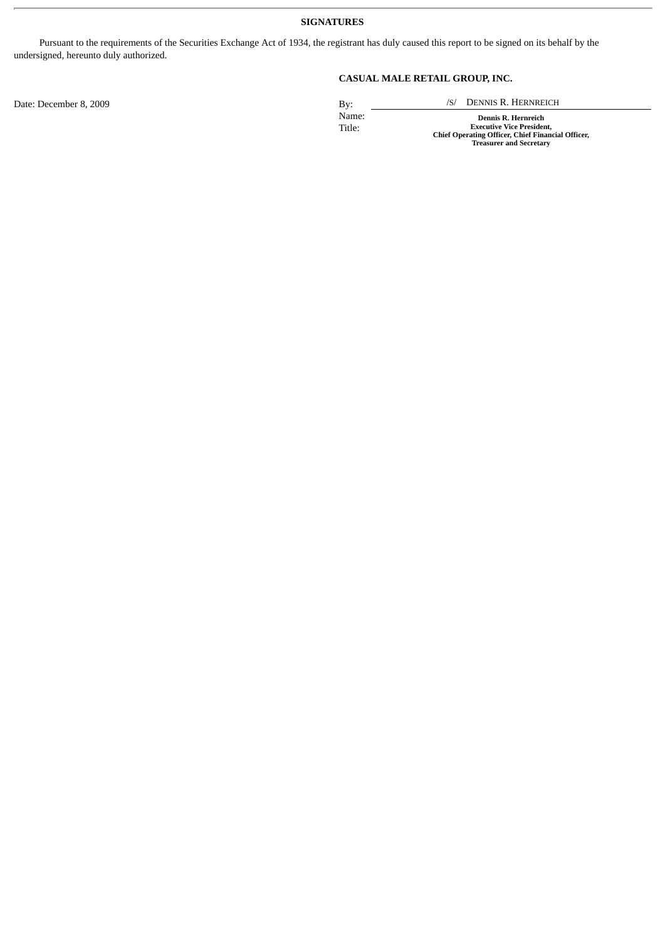#### **SIGNATURES**

Pursuant to the requirements of the Securities Exchange Act of 1934, the registrant has duly caused this report to be signed on its behalf by the undersigned, hereunto duly authorized.

**CASUAL MALE RETAIL GROUP, INC.**

Date: December 8, 2009 By: /S/ DENNIS R. HERNREICH

Name: **Dennis R. Hernreich** Title: **Executive Vice President, Chief Operating Officer, Chief Financial Officer, Treasurer and Secretary**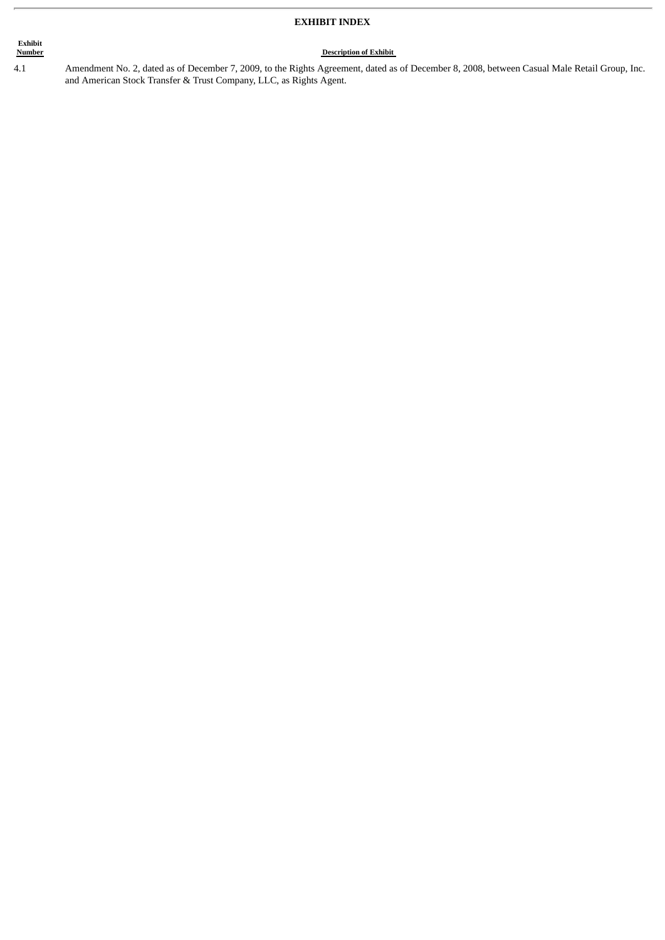#### **EXHIBIT INDEX**

## **Exhibit** 4.1

**Description of Exhibit** Amendment No. 2, dated as of December 7, 2009, to the Rights Agreement, dated as of December 8, 2008, between Casual Male Retail Group, Inc. and American Stock Transfer & Trust Company, LLC, as Rights Agent.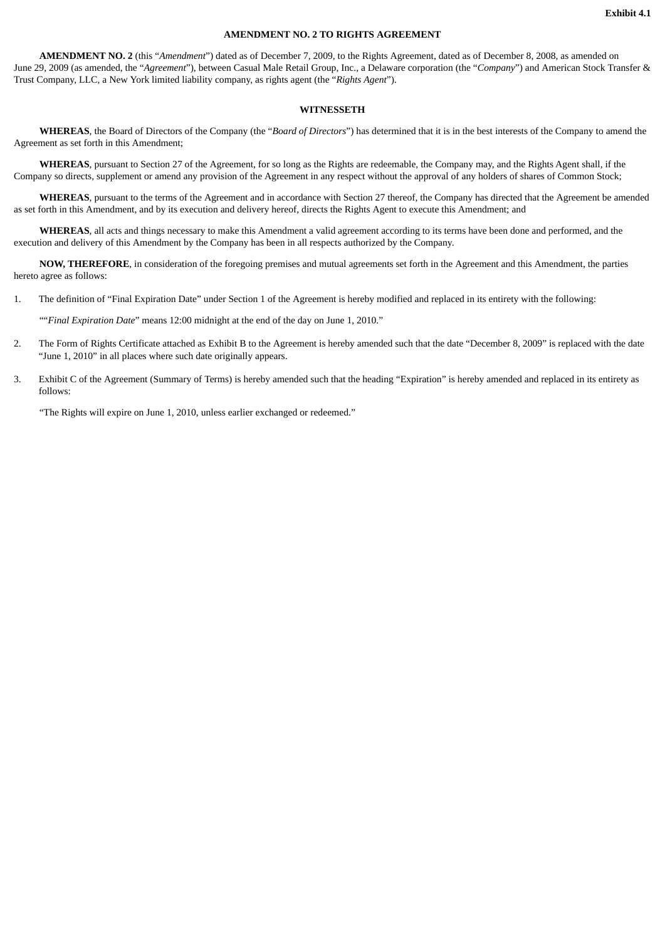#### **AMENDMENT NO. 2 TO RIGHTS AGREEMENT**

**AMENDMENT NO. 2** (this "*Amendment*") dated as of December 7, 2009, to the Rights Agreement, dated as of December 8, 2008, as amended on June 29, 2009 (as amended, the "*Agreement*"), between Casual Male Retail Group, Inc., a Delaware corporation (the "*Company*") and American Stock Transfer & Trust Company, LLC, a New York limited liability company, as rights agent (the "*Rights Agent*").

#### **WITNESSETH**

**WHEREAS**, the Board of Directors of the Company (the "*Board of Directors*") has determined that it is in the best interests of the Company to amend the Agreement as set forth in this Amendment;

**WHEREAS**, pursuant to Section 27 of the Agreement, for so long as the Rights are redeemable, the Company may, and the Rights Agent shall, if the Company so directs, supplement or amend any provision of the Agreement in any respect without the approval of any holders of shares of Common Stock;

**WHEREAS**, pursuant to the terms of the Agreement and in accordance with Section 27 thereof, the Company has directed that the Agreement be amended as set forth in this Amendment, and by its execution and delivery hereof, directs the Rights Agent to execute this Amendment; and

**WHEREAS**, all acts and things necessary to make this Amendment a valid agreement according to its terms have been done and performed, and the execution and delivery of this Amendment by the Company has been in all respects authorized by the Company.

**NOW, THEREFORE**, in consideration of the foregoing premises and mutual agreements set forth in the Agreement and this Amendment, the parties hereto agree as follows:

1. The definition of "Final Expiration Date" under Section 1 of the Agreement is hereby modified and replaced in its entirety with the following:

""*Final Expiration Date*" means 12:00 midnight at the end of the day on June 1, 2010."

- 2. The Form of Rights Certificate attached as Exhibit B to the Agreement is hereby amended such that the date "December 8, 2009" is replaced with the date "June 1, 2010" in all places where such date originally appears.
- 3. Exhibit C of the Agreement (Summary of Terms) is hereby amended such that the heading "Expiration" is hereby amended and replaced in its entirety as follows:

"The Rights will expire on June 1, 2010, unless earlier exchanged or redeemed."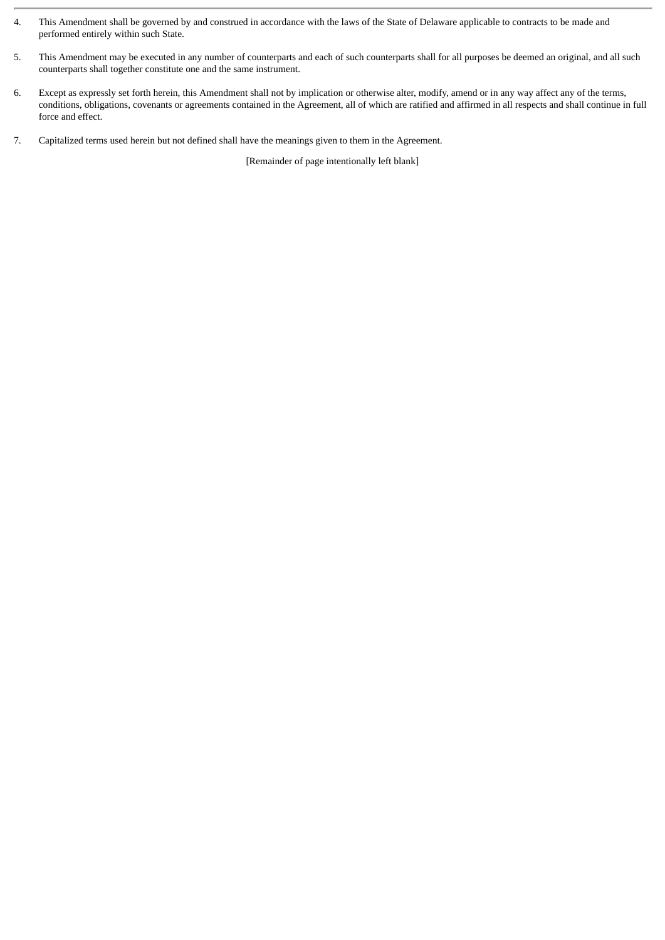- 4. This Amendment shall be governed by and construed in accordance with the laws of the State of Delaware applicable to contracts to be made and performed entirely within such State.
- 5. This Amendment may be executed in any number of counterparts and each of such counterparts shall for all purposes be deemed an original, and all such counterparts shall together constitute one and the same instrument.
- 6. Except as expressly set forth herein, this Amendment shall not by implication or otherwise alter, modify, amend or in any way affect any of the terms, conditions, obligations, covenants or agreements contained in the Agreement, all of which are ratified and affirmed in all respects and shall continue in full force and effect.
- 7. Capitalized terms used herein but not defined shall have the meanings given to them in the Agreement.

[Remainder of page intentionally left blank]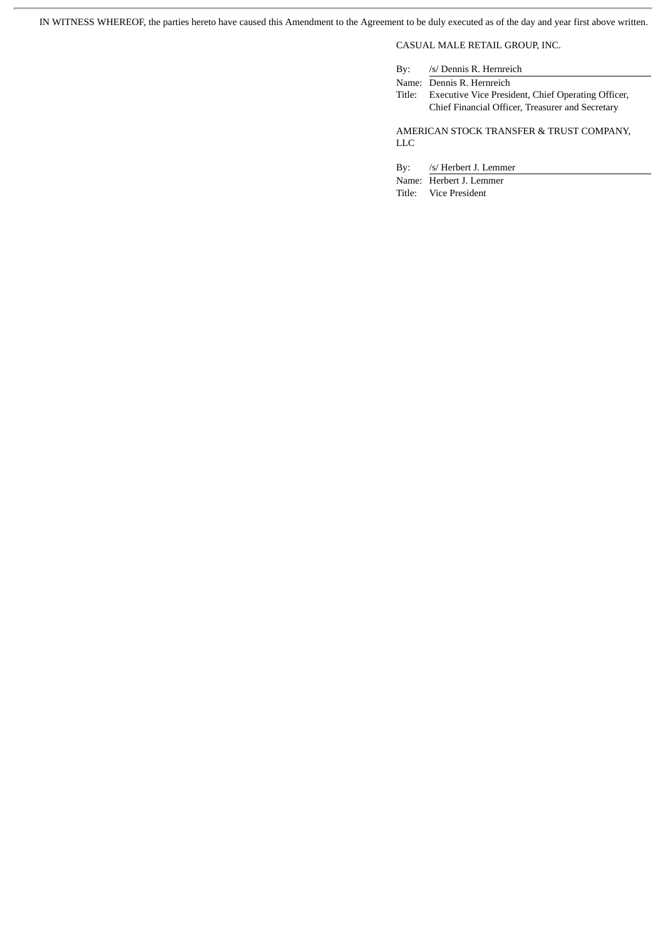IN WITNESS WHEREOF, the parties hereto have caused this Amendment to the Agreement to be duly executed as of the day and year first above written.

CASUAL MALE RETAIL GROUP, INC.

| By:                                      | /s/ Dennis R. Hernreich                            |
|------------------------------------------|----------------------------------------------------|
|                                          | Name: Dennis R. Hernreich                          |
| Title:                                   | Executive Vice President, Chief Operating Officer, |
|                                          | Chief Financial Officer, Treasurer and Secretary   |
|                                          |                                                    |
| AMERICAN STOCK TRANSFER & TRUST COMPANY, |                                                    |
| LLC                                      |                                                    |

By: /s/ Herbert J. Lemmer

Name: Herbert J. Lemmer

Title: Vice President